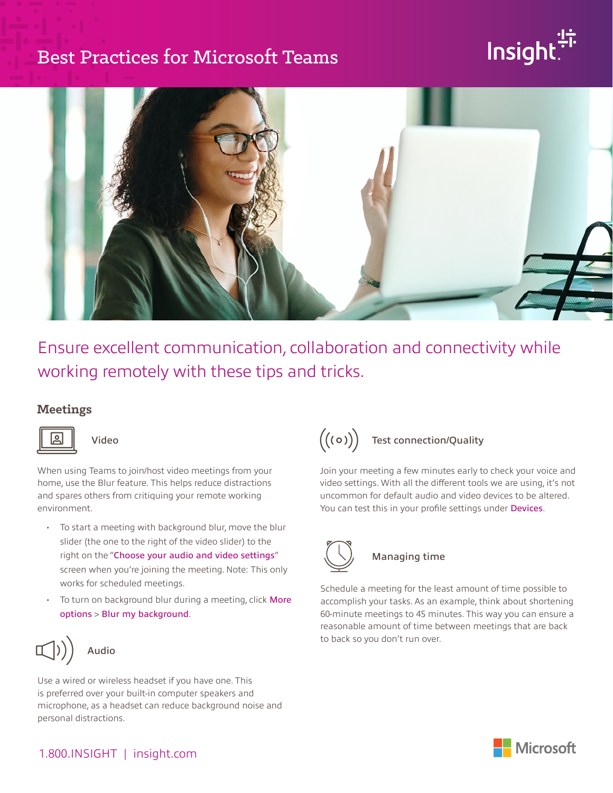### Best Practices for Microsoft Teams

# Insight



Ensure excellent communication, collaboration and connectivity while working remotely with these tips and tricks.

#### **Meetings**



Video

When using Teams to join/host video meetings from your home, use the Blur feature. This helps reduce distractions and spares others from critiquing your remote working environment.

- To start a meeting with background blur, move the blur slider (the one to the right of the video slider) to the right on the "Choose your audio and video settings" screen when you're joining the meeting. Note: This only works for scheduled meetings.
- To turn on background blur during a meeting, click More options > Blur my background.



### Audio

Use a wired or wireless headset if you have one. This is preferred over your built-in computer speakers and microphone, as a headset can reduce background noise and personal distractions.

## $((\circ))$  Test connection/Quality

Join your meeting a few minutes early to check your voice and video settings. With all the different tools we are using, it's not uncommon for default audio and video devices to be altered. You can test this in your profile settings under Devices.



### Managing time

Schedule a meeting for the least amount of time possible to accomplish your tasks. As an example, think about shortening 60-minute meetings to 45 minutes. This way you can ensure a reasonable amount of time between meetings that are back to back so you don't run over.